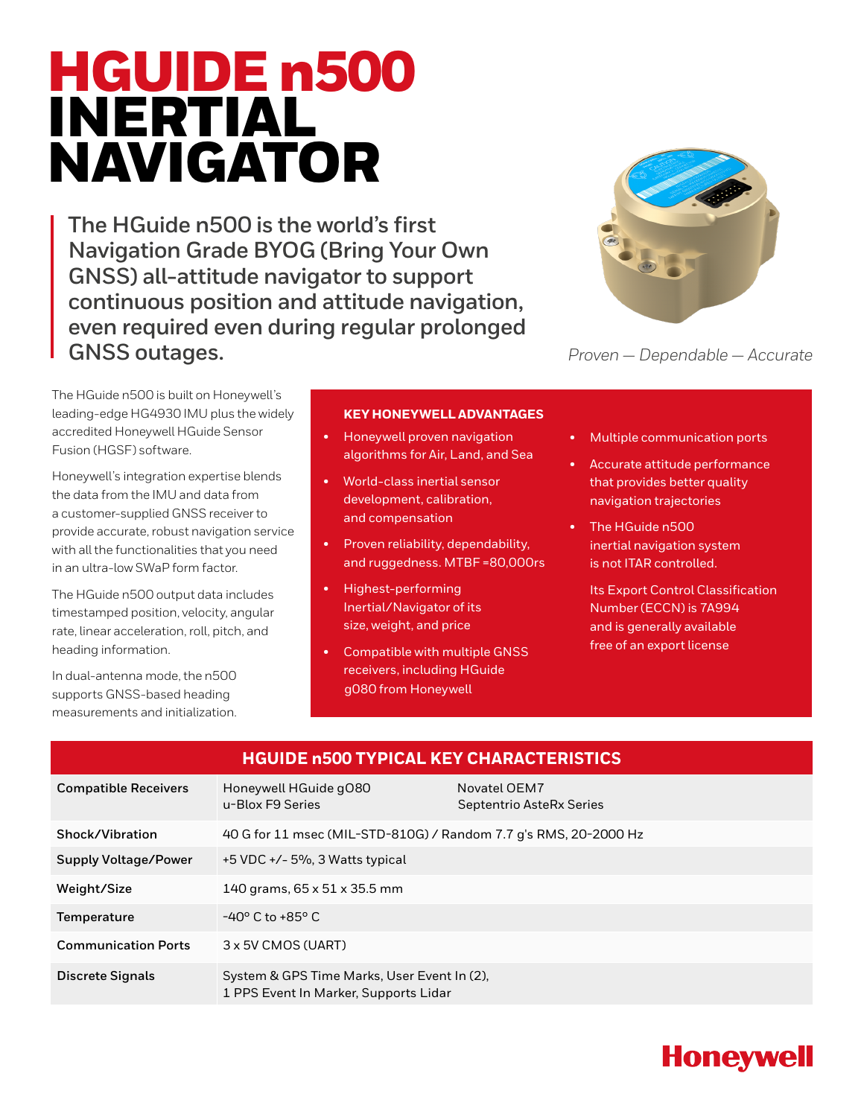# HGUIDE n500 INERTIAL NAVIGATOR

**The HGuide n500 is the world's first Navigation Grade BYOG (Bring Your Own GNSS) all-attitude navigator to support continuous position and attitude navigation, even required even during regular prolonged GNSS outages.**



*Proven — Dependable — Accurate*

The HGuide n500 is built on Honeywell's leading-edge HG4930 IMU plus the widely accredited Honeywell HGuide Sensor Fusion (HGSF) software.

Honeywell's integration expertise blends the data from the IMU and data from a customer-supplied GNSS receiver to provide accurate, robust navigation service with all the functionalities that you need in an ultra-low SWaP form factor.

The HGuide n500 output data includes timestamped position, velocity, angular rate, linear acceleration, roll, pitch, and heading information.

In dual-antenna mode, the n500 supports GNSS-based heading measurements and initialization.

#### **KEY HONEYWELL ADVANTAGES**

- Honeywell proven navigation algorithms for Air, Land, and Sea
- World-class inertial sensor development, calibration, and compensation
- Proven reliability, dependability, and ruggedness. MTBF =80,000rs
- Highest-performing Inertial/Navigator of its size, weight, and price
- Compatible with multiple GNSS receivers, including HGuide g080 from Honeywell
- Multiple communication ports
- Accurate attitude performance that provides better quality navigation trajectories
- The HGuide n500 inertial navigation system is not ITAR controlled.
	- Its Export Control Classification Number (ECCN) is 7A994 and is generally available free of an export license

| <b>HGUIDE n500 TYPICAL KEY CHARACTERISTICS</b> |                                                                                      |                                          |  |
|------------------------------------------------|--------------------------------------------------------------------------------------|------------------------------------------|--|
| <b>Compatible Receivers</b>                    | Honeywell HGuide gO80<br>u-Blox F9 Series                                            | Novatel OEM7<br>Septentrio AsteRx Series |  |
| Shock/Vibration                                | 40 G for 11 msec (MIL-STD-810G) / Random 7.7 g's RMS, 20-2000 Hz                     |                                          |  |
| <b>Supply Voltage/Power</b>                    | $+5$ VDC $+/-$ 5%, 3 Watts typical                                                   |                                          |  |
| Weight/Size                                    | 140 grams, 65 x 51 x 35.5 mm                                                         |                                          |  |
| Temperature                                    | $-40^{\circ}$ C to $+85^{\circ}$ C                                                   |                                          |  |
| <b>Communication Ports</b>                     | 3 x 5V CMOS (UART)                                                                   |                                          |  |
| Discrete Signals                               | System & GPS Time Marks, User Event In (2),<br>1 PPS Event In Marker, Supports Lidar |                                          |  |

# **Honeywell**